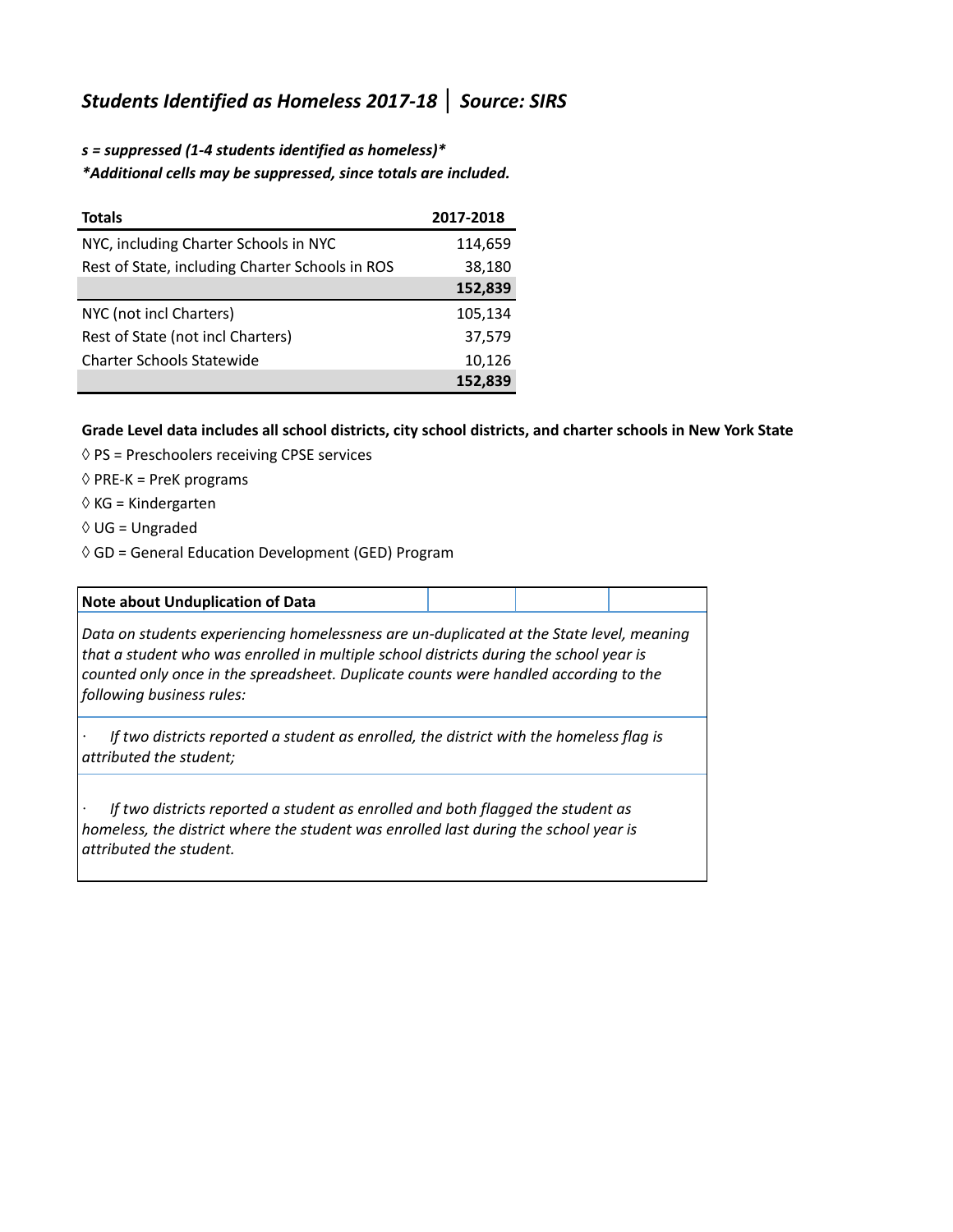## *Students Identified as Homeless 2017-18* **│** *Source: SIRS*

*s = suppressed (1-4 students identified as homeless)\* \*Additional cells may be suppressed, since totals are included.*

| <b>Totals</b>                                   | 2017-2018 |
|-------------------------------------------------|-----------|
| NYC, including Charter Schools in NYC           | 114,659   |
| Rest of State, including Charter Schools in ROS | 38,180    |
|                                                 | 152,839   |
| NYC (not incl Charters)                         | 105,134   |
| Rest of State (not incl Charters)               | 37,579    |
| <b>Charter Schools Statewide</b>                | 10,126    |
|                                                 | 152,839   |

## **Grade Level data includes all school districts, city school districts, and charter schools in New York State**

- $\Diamond$  PS = Preschoolers receiving CPSE services
- $\Diamond$  PRE-K = PreK programs
- ◊ KG = Kindergarten
- ◊ UG = Ungraded
- ◊ GD = General Education Development (GED) Program

| Note about Unduplication of Data                                                                                                                                                                                                                                                                        |  |  |  |  |
|---------------------------------------------------------------------------------------------------------------------------------------------------------------------------------------------------------------------------------------------------------------------------------------------------------|--|--|--|--|
| Data on students experiencing homelessness are un-duplicated at the State level, meaning<br>that a student who was enrolled in multiple school districts during the school year is<br>counted only once in the spreadsheet. Duplicate counts were handled according to the<br>following business rules: |  |  |  |  |
| If two districts reported a student as enrolled, the district with the homeless flag is<br>attributed the student;                                                                                                                                                                                      |  |  |  |  |
| If two districts reported a student as enrolled and both flagged the student as<br>homeless, the district where the student was enrolled last during the school year is<br>attributed the student.                                                                                                      |  |  |  |  |